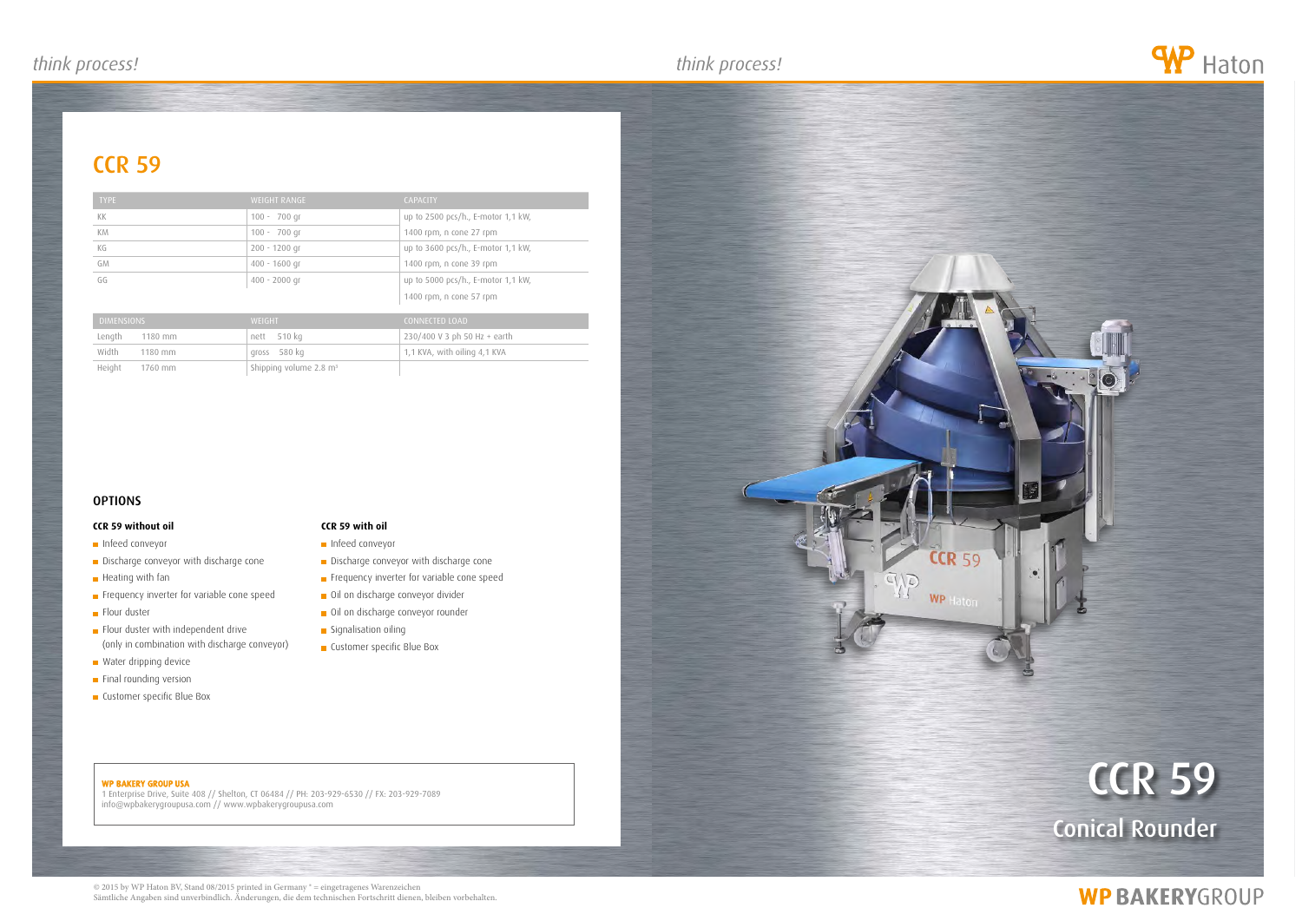## *think process! think process! think process!*

## **CCR 59**

### WP BAKERY GROUP USA

1 Enterprise Drive, Suite 408 // Shelton, CT 06484 // PH: 203-929-6530 // FX: 203-929-7089 info@wpbakerygroupusa.com // www.wpbakerygroupusa.com

# ccr 59 Conical Rounder

# **WP BAKERYGROUP**





| <b>TYPE</b>        | <b>WEIGHT RANGE</b>                | <b>CAPACITY</b>                    |
|--------------------|------------------------------------|------------------------------------|
| KK                 | $100 - 700$ qr                     | up to 2500 pcs/h., E-motor 1,1 kW, |
| <b>KM</b>          | $100 - 700$ qr                     | 1400 rpm, n cone 27 rpm            |
| КG                 | $200 - 1200$ gr                    | up to 3600 pcs/h., E-motor 1,1 kW, |
| GM                 | $400 - 1600$ qr                    | 1400 rpm, n cone 39 rpm            |
| GG                 | $400 - 2000$ gr                    | up to 5000 pcs/h., E-motor 1,1 kW, |
|                    |                                    | 1400 rpm, n cone 57 rpm            |
| <b>DIMENSIONS</b>  | <b>WEIGHT</b>                      | <b>CONNECTED LOAD</b>              |
| Length<br>1180 mm  | 510 kg<br>nett                     | 230/400 V 3 ph 50 Hz + earth       |
| Width<br>$1180$ mm | 580 kg<br><b>QFOSS</b>             | 1,1 KVA, with oiling 4,1 KVA       |
| Height<br>1760 mm  | Shipping volume 2.8 m <sup>3</sup> |                                    |

### **OPTIONS**

### **CCR 59 without oil**

- **Infeed conveyor**
- Discharge conveyor with discharge cone
- **Heating with fan**
- Frequency inverter for variable cone speed
- **Flour duster**
- Flour duster with independent drive (only in combination with discharge conveyor)
- **Water dripping device**
- **Final rounding version**
- **Customer specific Blue Box**

### **CCR 59 with oil**

- **Infeed conveyor**
- Discharge conveyor with discharge cone
- Frequency inverter for variable cone speed
- Oil on discharge conveyor divider
- Oil on discharge conveyor rounder
- Signalisation oiling
- **Customer specific Blue Box**